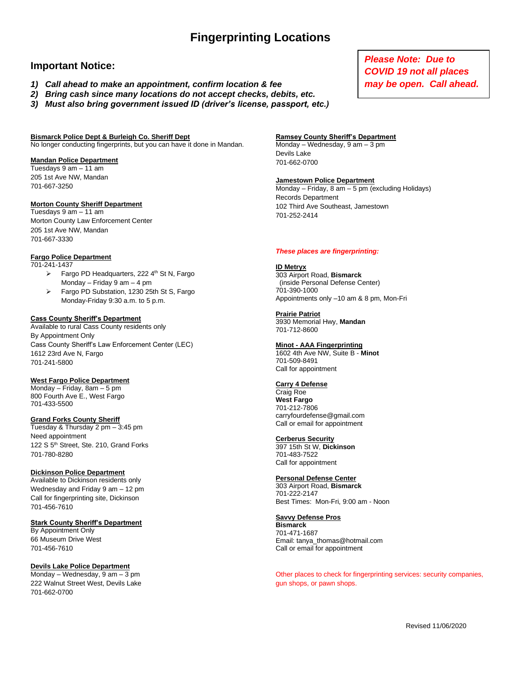## **Fingerprinting Locations**

## **Important Notice:**

- *1) Call ahead to make an appointment, confirm location & fee*
- *2) Bring cash since many locations do not accept checks, debits, etc.*
- *3) Must also bring government issued ID (driver's license, passport, etc.)*

## **Bismarck Police Dept & Burleigh Co. Sheriff Dept**

No longer conducting fingerprints, but you can have it done in Mandan.

#### **Mandan Police Department**

Tuesdays 9 am – 11 am 205 1st Ave NW, Mandan 701-667-3250

#### **Morton County Sheriff Department**

Tuesdays 9 am – 11 am Morton County Law Enforcement Center 205 1st Ave NW, Mandan 701-667-3330

#### **Fargo Police Department**

701-241-1437

- $\triangleright$  Fargo PD Headquarters, 222 4<sup>th</sup> St N, Fargo Monday – Friday 9 am – 4 pm
- ➢ Fargo PD Substation, 1230 25th St S, Fargo Monday-Friday 9:30 a.m. to 5 p.m.

#### **Cass County Sheriff's Department**

Available to rural Cass County residents only By Appointment Only Cass County Sheriff's Law Enforcement Center (LEC) 1612 23rd Ave N, Fargo 701-241-5800

#### **West Fargo Police Department**

Monday – Friday, 8am – 5 pm 800 Fourth Ave E., West Fargo 701-433-5500

#### **Grand Forks County Sheriff**

Tuesday & Thursday 2 pm – 3:45 pm Need appointment 122 S 5<sup>th</sup> Street, Ste. 210, Grand Forks 701-780-8280

#### **Dickinson Police Department**

Available to Dickinson residents only Wednesday and Friday 9 am – 12 pm Call for fingerprinting site, Dickinson 701-456-7610

#### **Stark County Sheriff's Department**

By Appointment Only 66 Museum Drive West 701-456-7610

#### **Devils Lake Police Department**

Monday – Wednesday,  $9 \text{ am} - 3 \text{ pm}$ 222 Walnut Street West, Devils Lake 701-662-0700

## *Please Note: Due to COVID 19 not all places may be open. Call ahead.*

#### **Ramsey County Sheriff's Department**

Monday – Wednesday, 9 am – 3 pm Devils Lake 701-662-0700

#### **Jamestown Police Department**

Monday – Friday, 8 am – 5 pm (excluding Holidays) Records Department 102 Third Ave Southeast, Jamestown 701-252-2414

#### *These places are fingerprinting:*

#### **ID Metryx**

303 Airport Road, **Bismarck** (inside Personal Defense Center) 701-390-1000 Appointments only –10 am & 8 pm, Mon-Fri

#### **Prairie Patriot**

3930 Memorial Hwy, **Mandan** 701-712-8600

#### **Minot - AAA Fingerprinting**

1602 4th Ave NW, Suite B - **Minot** 701-509-8491 Call for appointment

### **Carry 4 Defense**

Craig Roe **West Fargo** 701-212-7806 carryfourdefense@gmail.com Call or email for appointment

#### **Cerberus Security**

397 15th St W, **Dickinson** 701-483-7522 Call for appointment

#### **Personal Defense Center**

303 Airport Road, **Bismarck** 701-222-2147 Best Times: Mon-Fri, 9:00 am - Noon

#### **Savvy Defense Pros**

**Bismarck** 701-471-1687 Email: tanya\_thomas@hotmail.com Call or email for appointment

Other places to check for fingerprinting services: security companies, gun shops, or pawn shops.